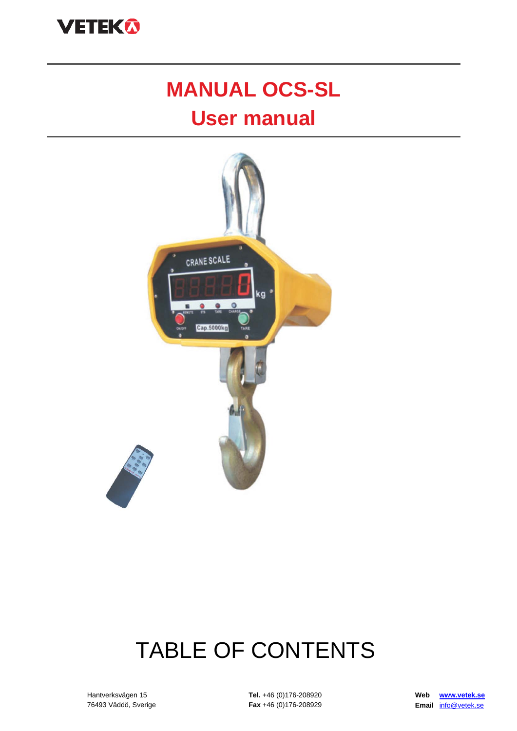

# **MANUAL OCS-SL**

## **User manual**



# TABLE OF CONTENTS

Hantverksvägen 15 76493 Väddö, Sverige **Tel.** +46 (0)176-208920 **Fax** +46 (0)176-208929 **Web [www.vetek.se](http://www.vetek.se/) Email** [info@vetek.se](mailto:info@vetek.se)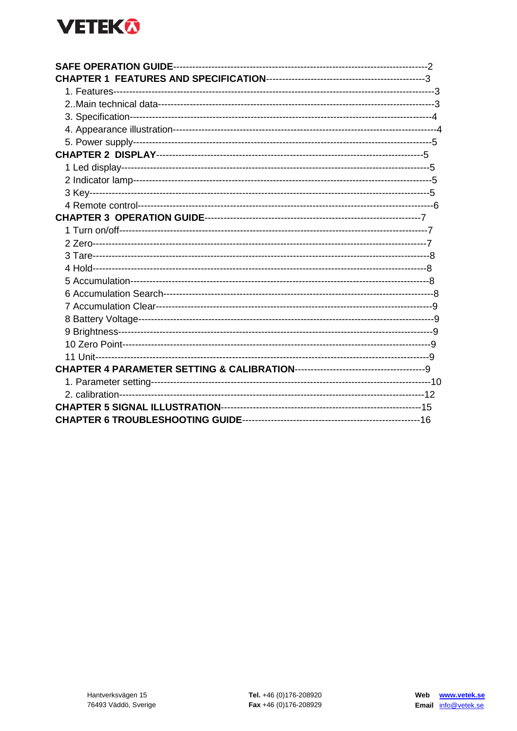## **VETEK®**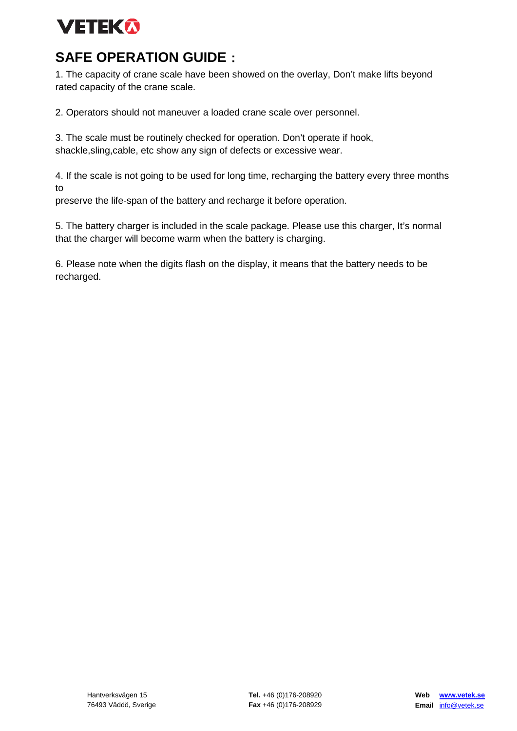## **VETEKA**

## **SAFE OPERATION GUIDE**:

1. The capacity of crane scale have been showed on the overlay, Don't make lifts beyond rated capacity of the crane scale.

2. Operators should not maneuver a loaded crane scale over personnel.

3. The scale must be routinely checked for operation. Don't operate if hook, shackle,sling,cable, etc show any sign of defects or excessive wear.

4. If the scale is not going to be used for long time, recharging the battery every three months to

preserve the life-span of the battery and recharge it before operation.

5. The battery charger is included in the scale package. Please use this charger, It's normal that the charger will become warm when the battery is charging.

6. Please note when the digits flash on the display, it means that the battery needs to be recharged.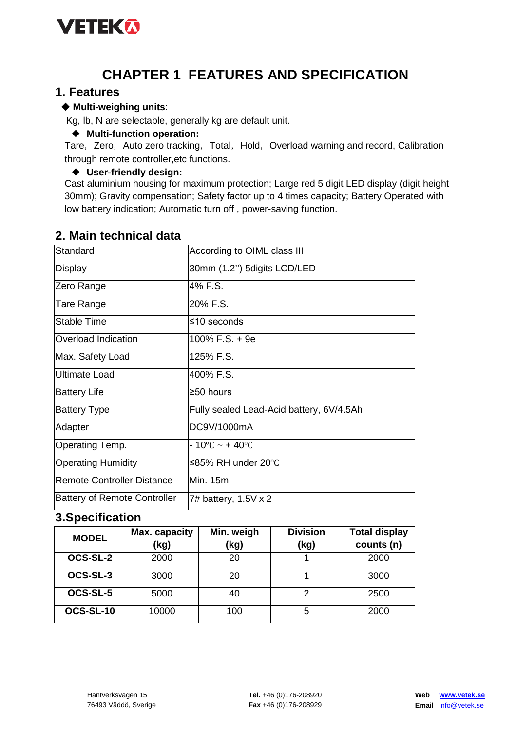

### **CHAPTER 1 FEATURES AND SPECIFICATION**

#### **1. Features**

#### ◆ **Multi-weighing units**:

Kg, lb, N are selectable, generally kg are default unit.

#### ◆ **Multi-function operation:**

Tare, Zero, Auto zero tracking, Total, Hold, Overload warning and record, Calibration through remote controller,etc functions.

#### ◆ **User-friendly design:**

Cast aluminium housing for maximum protection; Large red 5 digit LED display (digit height 30mm); Gravity compensation; Safety factor up to 4 times capacity; Battery Operated with low battery indication; Automatic turn off , power-saving function.

| Standard                            | According to OIML class III              |
|-------------------------------------|------------------------------------------|
| Display                             | 30mm (1.2") 5digits LCD/LED              |
| Zero Range                          | 4% F.S.                                  |
| Tare Range                          | 20% F.S.                                 |
| Stable Time                         | $≤10$ seconds                            |
| Overload Indication                 | 100% F.S. + 9e                           |
| Max. Safety Load                    | 125% F.S.                                |
| <b>Ultimate Load</b>                | 400% F.S.                                |
| <b>Battery Life</b>                 | ≥50 hours                                |
| <b>Battery Type</b>                 | Fully sealed Lead-Acid battery, 6V/4.5Ah |
| Adapter                             | DC9V/1000mA                              |
| Operating Temp.                     | $-10^{\circ}$ C ~ + 40 $^{\circ}$ C      |
| <b>Operating Humidity</b>           | ≤85% RH under 20°C                       |
| <b>Remote Controller Distance</b>   | Min. 15m                                 |
| <b>Battery of Remote Controller</b> | 7# battery, 1.5V x 2                     |

#### **2. Main technical data**

#### **3.Specification**

| <b>MODEL</b> | Max. capacity<br>(kg) | Min. weigh<br>(kg) | <b>Division</b><br>(kg) | <b>Total display</b><br>counts (n) |
|--------------|-----------------------|--------------------|-------------------------|------------------------------------|
| OCS-SL-2     | 2000                  | 20                 |                         | 2000                               |
| OCS-SL-3     | 3000                  | 20                 |                         | 3000                               |
| OCS-SL-5     | 5000                  | 40                 | 2                       | 2500                               |
| OCS-SL-10    | 10000                 | 100                | 5                       | 2000                               |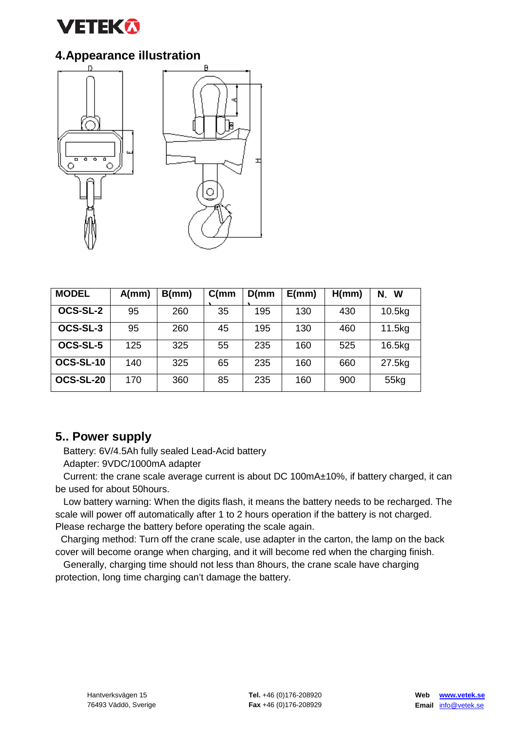

#### **4.Appearance illustration**





| <b>MODEL</b> | A/mm | B/mm | C(mm) | D/mm | E(mm) | H/mm) | N.<br>W |
|--------------|------|------|-------|------|-------|-------|---------|
| OCS-SL-2     | 95   | 260  | 35    | 195  | 130   | 430   | 10.5kg  |
| OCS-SL-3     | 95   | 260  | 45    | 195  | 130   | 460   | 11.5kg  |
| OCS-SL-5     | 125  | 325  | 55    | 235  | 160   | 525   | 16.5kg  |
| OCS-SL-10    | 140  | 325  | 65    | 235  | 160   | 660   | 27.5kg  |
| OCS-SL-20    | 170  | 360  | 85    | 235  | 160   | 900   | 55kg    |

#### **5.. Power supply**

Battery: 6V/4.5Ah fully sealed Lead-Acid battery

Adapter: 9VDC/1000mA adapter

 Current: the crane scale average current is about DC 100mA±10%, if battery charged, it can be used for about 50hours.

 Low battery warning: When the digits flash, it means the battery needs to be recharged. The scale will power off automatically after 1 to 2 hours operation if the battery is not charged. Please recharge the battery before operating the scale again.

 Charging method: Turn off the crane scale, use adapter in the carton, the lamp on the back cover will become orange when charging, and it will become red when the charging finish.

 Generally, charging time should not less than 8hours, the crane scale have charging protection, long time charging can't damage the battery.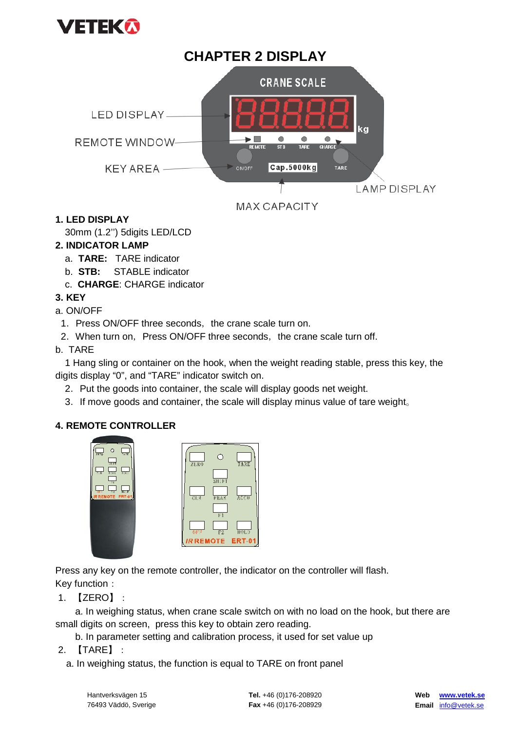

#### **CHAPTER 2 DISPLAY CRANE SCALE LED DISPLAY.** kg  $\blacktriangleright$   $\blacksquare$ Ò  $\bullet$  $\bullet$ **REMOTE WINDOW-** $\frac{1}{1}$ .<br>ST B **CHARGE**  $Cap.5000kg$ KFY ARFA-O N/O FF **TARE LAMP DISPLAY MAX CAPACITY**

#### **1. LED DISPLAY**

30mm (1.2'') 5digits LED/LCD

#### **2. INDICATOR LAMP**

- a. **TARE:** TARE indicator
- b. **STB:** STABLE indicator
- c. **CHARGE**: CHARGE indicator

#### **3. KEY**

#### a. ON/OFF

- 1. Press ON/OFF three seconds, the crane scale turn on.
- 2. When turn on, Press ON/OFF three seconds, the crane scale turn off.

#### b. TARE

1 Hang sling or container on the hook, when the weight reading stable, press this key, the digits display "0", and "TARE" indicator switch on.

- 2. Put the goods into container, the scale will display goods net weight.
- 3. If move goods and container, the scale will display minus value of tare weight.

#### **4. REMOTE CONTROLLER**

| $\circ$<br>$7F - 0$<br>7.36                                |                  |                      |
|------------------------------------------------------------|------------------|----------------------|
| 3117<br>LOSS.<br>$E_{\rm E}$<br>$\overline{A}$ of $C$      | ZERO             |                      |
| 34<br>$\Pi$ , $P$<br>w<br>77<br><b>IR REMOTE</b><br>ERT-01 | CL3              | SILFT<br><b>FEAX</b> |
|                                                            |                  | F1                   |
|                                                            | OFT              | F2                   |
|                                                            | <b>IR REMOTE</b> |                      |

Press any key on the remote controller, the indicator on the controller will flash. Key function:

 $\overline{\text{not}}$ ERT-0

1.【ZERO】:

 a. In weighing status, when crane scale switch on with no load on the hook, but there are small digits on screen, press this key to obtain zero reading.

b. In parameter setting and calibration process, it used for set value up

- 2.【TARE】:
	- a. In weighing status, the function is equal to TARE on front panel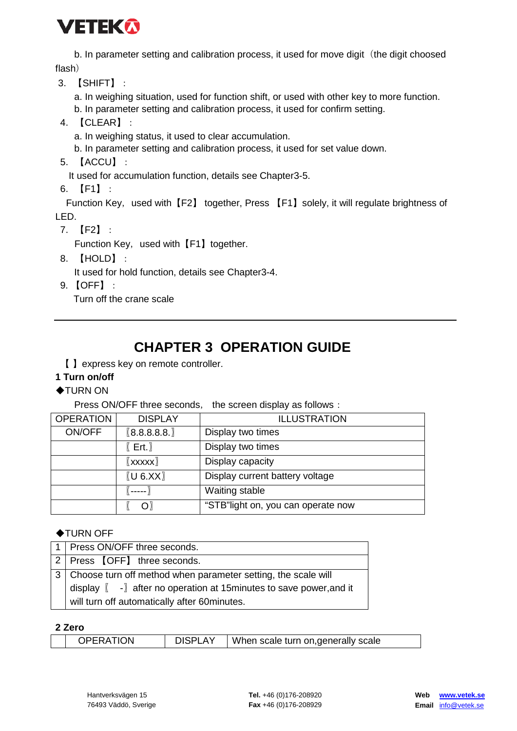## **VETEKA**

b. In parameter setting and calibration process, it used for move digit (the digit choosed flash)

3.【SHIFT】:

a. In weighing situation, used for function shift, or used with other key to more function.

- b. In parameter setting and calibration process, it used for confirm setting.
- 4.【CLEAR】:
	- a. In weighing status, it used to clear accumulation.
	- b. In parameter setting and calibration process, it used for set value down.
- 5.【ACCU】:

It used for accumulation function, details see Chapter3-5.

6.【F1】:

Function Key, used with [F2] together, Press [F1] solely, it will regulate brightness of LED.

7.【F2】:

Function Key, used with 【F1】 together.

8.【HOLD】:

It used for hold function, details see Chapter3-4.

9. 【OFF】:

Turn off the crane scale

## **CHAPTER 3 OPERATION GUIDE**

【 】express key on remote controller.

#### **1 Turn on/off**

#### ◆TURN ON

Press ON/OFF three seconds, the screen display as follows:

| <b>OPERATION</b> | <b>DISPLAY</b>                 | <b>ILLUSTRATION</b>                |
|------------------|--------------------------------|------------------------------------|
| ON/OFF           | [8.8.8.8.8.]                   | Display two times                  |
|                  | $[$ Ert. $]$                   | Display two times                  |
|                  | $\mathbb{I}$ xxxx $\mathbb{I}$ | Display capacity                   |
|                  | [U 6.XX]                       | Display current battery voltage    |
|                  |                                | Waiting stable                     |
|                  | Ωľ                             | "STB"light on, you can operate now |

#### ◆TURN OFF

| 1   Press ON/OFF three seconds.                                                                              |  |  |  |  |
|--------------------------------------------------------------------------------------------------------------|--|--|--|--|
| 2 Press 【OFF】 three seconds.                                                                                 |  |  |  |  |
| 3   Choose turn off method when parameter setting, the scale will                                            |  |  |  |  |
| display $\left[\begin{array}{cc} -\end{array}\right]$ after no operation at 15 minutes to save power, and it |  |  |  |  |
| will turn off automatically after 60minutes.                                                                 |  |  |  |  |

#### **2 Zero**

|  | <b>OPERATION</b> | <b>DISPLAY</b> | When scale turn on, generally scale |
|--|------------------|----------------|-------------------------------------|
|--|------------------|----------------|-------------------------------------|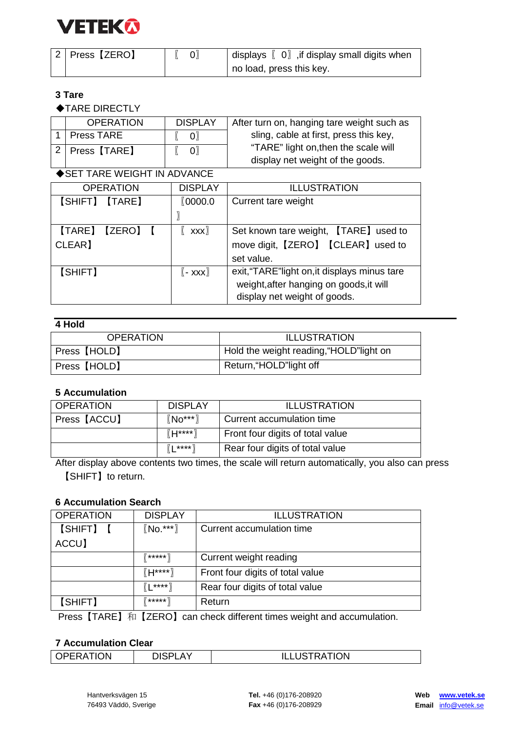

| 2   Press 【ZERO】 | $[$ 0) | displays $[0]$ , if display small digits when |
|------------------|--------|-----------------------------------------------|
|                  |        | no load, press this key.                      |

#### **3 Tare**

◆TARE DIRECTLY

| <b>OPERATION</b> | <b>DISPLAY</b> | After turn on, hanging tare weight such as |
|------------------|----------------|--------------------------------------------|
| Press TARE       | $\Omega$       | sling, cable at first, press this key,     |
| 2   Press [TARE] | $\mathsf{O}$   | "TARE" light on, then the scale will       |
|                  |                | display net weight of the goods.           |

#### ◆SET TARE WEIGHT IN ADVANCE

|         | <b>OPERATION</b> | <b>DISPLAY</b>                     | <b>ILLUSTRATION</b>                           |
|---------|------------------|------------------------------------|-----------------------------------------------|
|         | [SHIFT] [TARE]   | <b><i><u>© 0000.0</u></i></b>      | Current tare weight                           |
|         |                  |                                    |                                               |
|         | [TARE] [ZERO] [  | $\mathbf{x} \mathbf{x} \mathbf{x}$ | Set known tare weight, [TARE] used to         |
| CLEAR]  |                  |                                    | move digit, [ZERO] [CLEAR] used to            |
|         |                  |                                    | set value.                                    |
| [SHIFT] |                  | $(-xxx)$                           | exit, "TARE" light on, it displays minus tare |
|         |                  |                                    | weight, after hanging on goods, it will       |
|         |                  |                                    | display net weight of goods.                  |

#### **4 Hold**

| <b>OPERATION</b> | <b>ILLUSTRATION</b>                      |
|------------------|------------------------------------------|
| Press 【HOLD】     | Hold the weight reading, "HOLD" light on |
| Press [HOLD]     | Return, "HOLD"light off                  |

#### **5 Accumulation**

| l OPERATION  | <b>DISPLAY</b>              | <b>ILLUSTRATION</b>              |
|--------------|-----------------------------|----------------------------------|
| Press [ACCU] | $\left[\text{No***}\right]$ | Current accumulation time        |
|              | $[[H***]$                   | Front four digits of total value |
|              | $(L***)$                    | Rear four digits of total value  |

After display above contents two times, the scale will return automatically, you also can press 【SHIFT】to return.

#### **6 Accumulation Search**

| <b>OPERATION</b> | <b>DISPLAY</b> | <b>ILLUSTRATION</b>              |  |
|------------------|----------------|----------------------------------|--|
| [SHIFT] [        | $(No.***)$     | Current accumulation time        |  |
| ACCU]            |                |                                  |  |
|                  | $7***$         | Current weight reading           |  |
|                  | $[[H^{***}]$   | Front four digits of total value |  |
|                  | $(L***)$       | Rear four digits of total value  |  |
| [SHIFT]          | $7***$         | Return                           |  |

Press [TARE] 和 [ZERO] can check different times weight and accumulation.

#### **7 Accumulation Clear**

| <b>TION</b><br>$\bigcap$<br><br>$\sim$ | ៱ ៶៸ | <b>JSTRATION</b> |
|----------------------------------------|------|------------------|
|                                        |      |                  |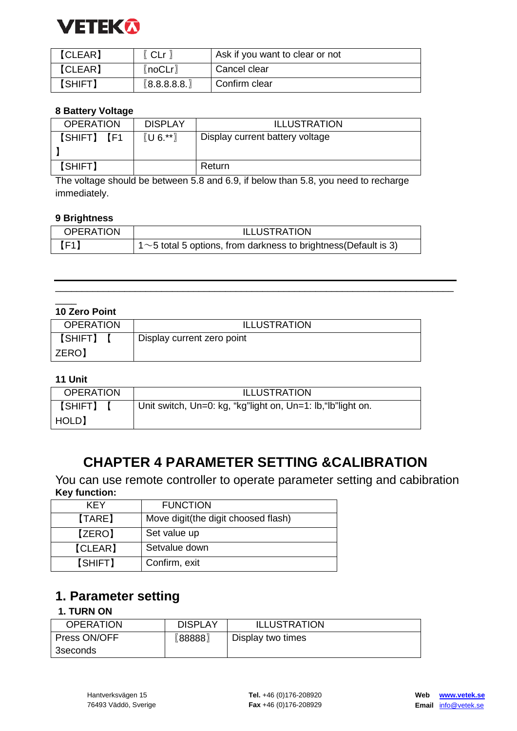

| <b>[CLEAR]</b> | (CLr)       | Ask if you want to clear or not |
|----------------|-------------|---------------------------------|
| [CLEAR]        | 〖noCLr〗     | Cancel clear                    |
| 【SHIFT】        | [8.8.8.8.8] | Confirm clear                   |

#### **8 Battery Voltage**

| <b>OPERATION</b> | <b>DISPLAY</b>                                          | <b>ILLUSTRATION</b>             |
|------------------|---------------------------------------------------------|---------------------------------|
| [SHIFT] [F1      | $\left[\begin{matrix} 1 & 0 \\ 0 & \end{matrix}\right]$ | Display current battery voltage |
|                  |                                                         |                                 |
| [SHIFT]          |                                                         | Return                          |

The voltage should be between 5.8 and 6.9, if below than 5.8, you need to recharge immediately.

#### **9 Brightness**

| <b>OPERATION</b> | <b>ILLUSTRATION</b>                                                    |
|------------------|------------------------------------------------------------------------|
| [F1]             | $1 \sim 5$ total 5 options, from darkness to brightness (Default is 3) |

\_\_\_\_\_\_\_\_\_\_\_\_\_\_\_\_\_\_\_\_\_\_\_\_\_\_\_\_\_\_\_\_\_\_\_\_\_\_\_\_\_\_\_\_\_\_\_\_\_\_\_\_\_\_\_\_\_\_\_\_\_\_\_\_\_\_\_\_\_\_\_\_\_\_\_

#### **10 Zero Point**

| <b>OPERATION</b>   | <b>ILLUSTRATION</b>        |  |
|--------------------|----------------------------|--|
| 【SHIFT】<br>  ZERO】 | Display current zero point |  |

#### **11 Unit**

 $\overline{\phantom{a}}$ 

| <b>OPERATION</b>   | <b>ILLUSTRATION</b>                                          |
|--------------------|--------------------------------------------------------------|
| [SHIFT] [<br>HOLD) | Unit switch, Un=0: kg, "kg"light on, Un=1: lb, "lb"light on. |

### **CHAPTER 4 PARAMETER SETTING &CALIBRATION**

You can use remote controller to operate parameter setting and cabibration **Key function:**

| <b>KFY</b>     | <b>FUNCTION</b>                     |  |
|----------------|-------------------------------------|--|
| [TARE]         | Move digit(the digit choosed flash) |  |
| [ZERO]         | Set value up                        |  |
| <b>[CLEAR]</b> | Setvalue down                       |  |
| [SHIFT]        | Confirm, exit                       |  |

### **1. Parameter setting**

#### **1. TURN ON**

| <b>OPERATION</b> | <b>DISPLAY</b> | <b>ILLUSTRATION</b> |
|------------------|----------------|---------------------|
| Press ON/OFF     | 【88888】        | Display two times   |
| 3 seconds        |                |                     |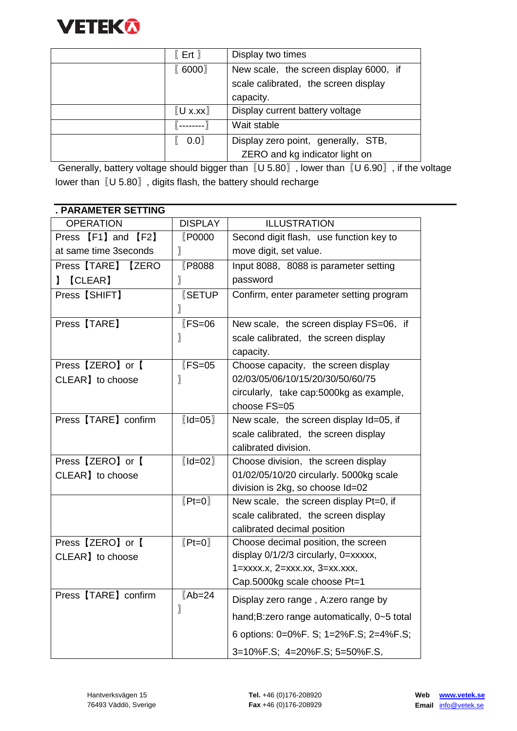

| $[$ Ert $]$                    | Display two times                      |
|--------------------------------|----------------------------------------|
| [0.6000]                       | New scale, the screen display 6000, if |
|                                | scale calibrated, the screen display   |
|                                | capacity.                              |
| $\mathbb{U}$ x.xx $\mathbb{U}$ | Display current battery voltage        |
|                                | Wait stable                            |
| 0.0                            | Display zero point, generally, STB,    |
|                                | ZERO and kg indicator light on         |

Generally, battery voltage should bigger than  $[[U 5.80]$ , lower than  $[[U 6.90]$ , if the voltage lower than〖U 5.80〗, digits flash, the battery should recharge

| . PARAMETER SETTING   |                         |                                              |
|-----------------------|-------------------------|----------------------------------------------|
| <b>OPERATION</b>      | <b>DISPLAY</b>          | <b>ILLUSTRATION</b>                          |
| Press [F1] and [F2]   | <b>P0000</b>            | Second digit flash, use function key to      |
| at same time 3seconds |                         | move digit, set value.                       |
| Press [TARE] [ZERO    | [P8088                  | Input 8088, 8088 is parameter setting        |
| [CLEAR]               | 〗                       | password                                     |
| Press [SHIFT]         | <b>ISETUP</b>           | Confirm, enter parameter setting program     |
|                       | 〗                       |                                              |
| Press [TARE]          | $KFS = 06$              | New scale, the screen display FS=06, if      |
|                       | 〗                       | scale calibrated, the screen display         |
|                       |                         | capacity.                                    |
| Press [ZERO] or [     | $KFS = 05$              | Choose capacity, the screen display          |
| CLEAR] to choose      | 〗                       | 02/03/05/06/10/15/20/30/50/60/75             |
|                       |                         | circularly, take cap:5000kg as example,      |
|                       |                         | choose FS=05                                 |
| Press [TARE] confirm  | $[$ Id=05 $]$           | New scale, the screen display Id=05, if      |
|                       |                         | scale calibrated, the screen display         |
|                       |                         | calibrated division.                         |
| Press [ZERO] or [     | $[Id=02]$               | Choose division, the screen display          |
| CLEAR] to choose      |                         | 01/02/05/10/20 circularly. 5000kg scale      |
|                       |                         | division is 2kg, so choose Id=02             |
|                       | $[Pt=0]$                | New scale, the screen display Pt=0, if       |
|                       |                         | scale calibrated, the screen display         |
|                       |                         | calibrated decimal position                  |
| Press [ZERO] or [     | $[Pt=0]$                | Choose decimal position, the screen          |
| CLEAR] to choose      |                         | display 0/1/2/3 circularly, 0=xxxxx,         |
|                       |                         | $1 =$ xxxx.x, $2 =$ xxx.xx, $3 =$ xx.xxx,    |
|                       |                         | Cap.5000kg scale choose Pt=1                 |
| Press [TARE] confirm  | $(Ab=24)$<br>$\sqrt{ }$ | Display zero range, A:zero range by          |
|                       |                         | hand; B: zero range automatically, 0~5 total |
|                       |                         | 6 options: 0=0%F. S; 1=2%F.S; 2=4%F.S;       |
|                       |                         | 3=10%F.S; 4=20%F.S; 5=50%F.S,                |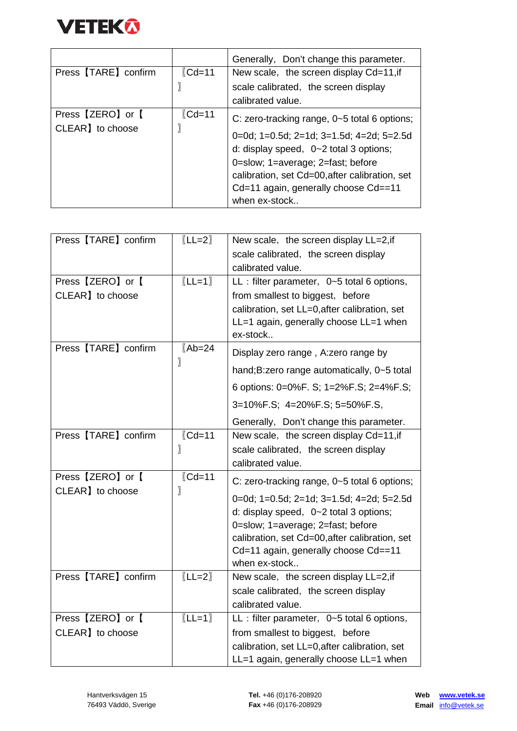

|                                       |                    | Generally, Don't change this parameter.                                                                                                                                                                                                                                                  |
|---------------------------------------|--------------------|------------------------------------------------------------------------------------------------------------------------------------------------------------------------------------------------------------------------------------------------------------------------------------------|
| Press [TARE] confirm                  | $\mathcal{C}$ d=11 | New scale, the screen display Cd=11, if                                                                                                                                                                                                                                                  |
|                                       |                    | scale calibrated, the screen display                                                                                                                                                                                                                                                     |
|                                       |                    | calibrated value.                                                                                                                                                                                                                                                                        |
| Press [ZERO] or [<br>CLEAR] to choose | $\mathcal{C}$ d=11 | C: zero-tracking range, 0~5 total 6 options;<br>0=0d; 1=0.5d; 2=1d; 3=1.5d; 4=2d; 5=2.5d<br>d: display speed, $0\neg 2$ total 3 options;<br>0=slow; 1=average; 2=fast; before<br>calibration, set Cd=00, after calibration, set<br>Cd=11 again, generally choose Cd==11<br>when ex-stock |

| Press [TARE] confirm | $[LL=2]$                 | New scale, the screen display LL=2, if                                              |
|----------------------|--------------------------|-------------------------------------------------------------------------------------|
|                      |                          |                                                                                     |
|                      |                          | scale calibrated, the screen display                                                |
|                      |                          | calibrated value.                                                                   |
| Press [ZERO] or [    | $[LL=1]$                 | $LL$ : filter parameter, $0\nu 5$ total 6 options,                                  |
| CLEAR] to choose     |                          | from smallest to biggest, before                                                    |
|                      |                          | calibration, set LL=0, after calibration, set                                       |
|                      |                          | LL=1 again, generally choose LL=1 when                                              |
|                      |                          | ex-stock                                                                            |
| Press [TARE] confirm | $(Ab=24)$<br>〗           | Display zero range, A:zero range by                                                 |
|                      |                          | hand; B: zero range automatically, 0~5 total                                        |
|                      |                          | 6 options: 0=0%F. S; 1=2%F.S; 2=4%F.S;                                              |
|                      |                          | 3=10%F.S; 4=20%F.S; 5=50%F.S,                                                       |
|                      |                          | Generally, Don't change this parameter.                                             |
| Press [TARE] confirm | $\text{\textsf{ICd}=11}$ | New scale, the screen display Cd=11, if                                             |
|                      | 〗                        | scale calibrated, the screen display                                                |
|                      |                          | calibrated value.                                                                   |
| Press [ZERO] or [    | $\text{\textsf{ICd}=11}$ | C: zero-tracking range, 0~5 total 6 options;                                        |
| CLEAR] to choose     | $\sqrt{ }$               |                                                                                     |
|                      |                          | 0=0d; 1=0.5d; 2=1d; 3=1.5d; 4=2d; 5=2.5d                                            |
|                      |                          | d: display speed, 0~2 total 3 options;                                              |
|                      |                          | 0=slow; 1=average; 2=fast; before<br>calibration, set Cd=00, after calibration, set |
|                      |                          | Cd=11 again, generally choose Cd==11                                                |
|                      |                          | when ex-stock                                                                       |
| Press [TARE] confirm | $[LL=2]$                 | New scale, the screen display LL=2, if                                              |
|                      |                          |                                                                                     |
|                      |                          | scale calibrated, the screen display                                                |
|                      |                          | calibrated value.                                                                   |
| Press [ZERO] or [    | $[LL=1]$                 | $LL$ : filter parameter, $0\neg 5$ total 6 options,                                 |
| CLEAR] to choose     |                          | from smallest to biggest, before                                                    |
|                      |                          | calibration, set LL=0, after calibration, set                                       |
|                      |                          | LL=1 again, generally choose LL=1 when                                              |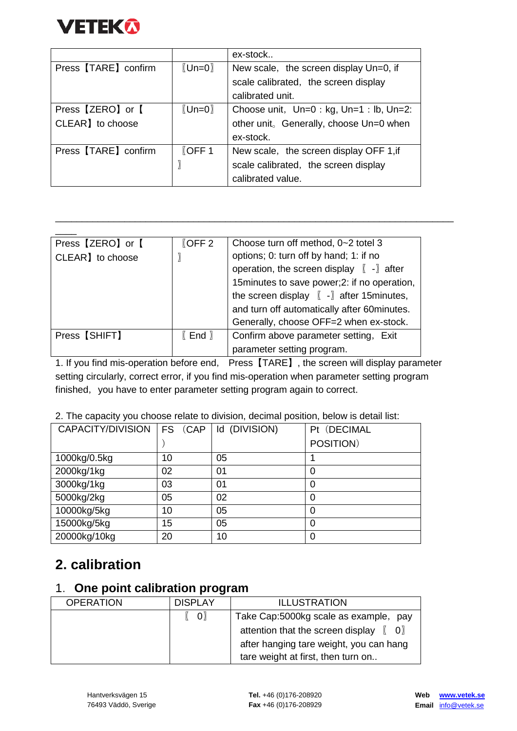

|                      |                                | ex-stock                                            |
|----------------------|--------------------------------|-----------------------------------------------------|
| Press [TARE] confirm | $\mathbb{U}$ Un=0              | New scale, the screen display Un=0, if              |
|                      |                                | scale calibrated, the screen display                |
|                      |                                | calibrated unit.                                    |
| Press [ZERO] or [    | $\mathbb{(}$ Un=0 $\mathbb{)}$ | Choose unit, $Un=0 : kg$ , $Un=1 : lb$ , $Un=2$ :   |
| CLEAR] to choose     |                                | other unit <sub>o</sub> Generally, choose Un=0 when |
|                      |                                | ex-stock.                                           |
| Press [TARE] confirm | [OFF 1]                        | New scale, the screen display OFF 1, if             |
|                      |                                | scale calibrated, the screen display                |
|                      |                                | calibrated value.                                   |

| Press [ZERO] or [ | [OFF 2] | Choose turn off method, 0~2 totel 3                                                                                                                                                                                                                                                     |
|-------------------|---------|-----------------------------------------------------------------------------------------------------------------------------------------------------------------------------------------------------------------------------------------------------------------------------------------|
| CLEAR] to choose  |         | options; 0: turn off by hand; 1: if no<br>operation, the screen display $[ \cdot ]$ after<br>15minutes to save power;2: if no operation,<br>the screen display $[ \ ]$ - $]$ after 15 minutes,<br>and turn off automatically after 60minutes.<br>Generally, choose OFF=2 when ex-stock. |
| Press [SHIFT]     | [End]   | Confirm above parameter setting, Exit                                                                                                                                                                                                                                                   |
|                   |         | parameter setting program.                                                                                                                                                                                                                                                              |

\_\_\_\_\_\_\_\_\_\_\_\_\_\_\_\_\_\_\_\_\_\_\_\_\_\_\_\_\_\_\_\_\_\_\_\_\_\_\_\_\_\_\_\_\_\_\_\_\_\_\_\_\_\_\_\_\_\_\_\_\_\_\_\_\_\_\_\_\_\_\_\_\_\_\_

1. If you find mis-operation before end, Press【TARE】, the screen will display parameter setting circularly, correct error, if you find mis-operation when parameter setting program finished, you have to enter parameter setting program again to correct.

| CAPACITY/DIVISION | FS (CAP | Id (DIVISION) | Pt (DECIMAL |
|-------------------|---------|---------------|-------------|
|                   |         |               | POSITION)   |
| 1000kg/0.5kg      | 10      | 05            |             |
| 2000kg/1kg        | 02      | 01            | 0           |
| 3000kg/1kg        | 03      | 01            | 0           |
| 5000kg/2kg        | 05      | 02            | 0           |
| 10000kg/5kg       | 10      | 05            | 0           |
| 15000kg/5kg       | 15      | 05            | 0           |
| 20000kg/10kg      | 20      | 10            |             |

#### 2. The capacity you choose relate to division, decimal position, below is detail list:

### **2. calibration**

#### 1.**One point calibration program**

| <b>OPERATION</b> | <b>DISPLAY</b> | <b>ILLUSTRATION</b>                                                 |
|------------------|----------------|---------------------------------------------------------------------|
|                  | $\mathbf{O}$   | Take Cap:5000kg scale as example, pay                               |
|                  |                | attention that the screen display $\begin{bmatrix} 0 \end{bmatrix}$ |
|                  |                | after hanging tare weight, you can hang                             |
|                  |                | tare weight at first, then turn on                                  |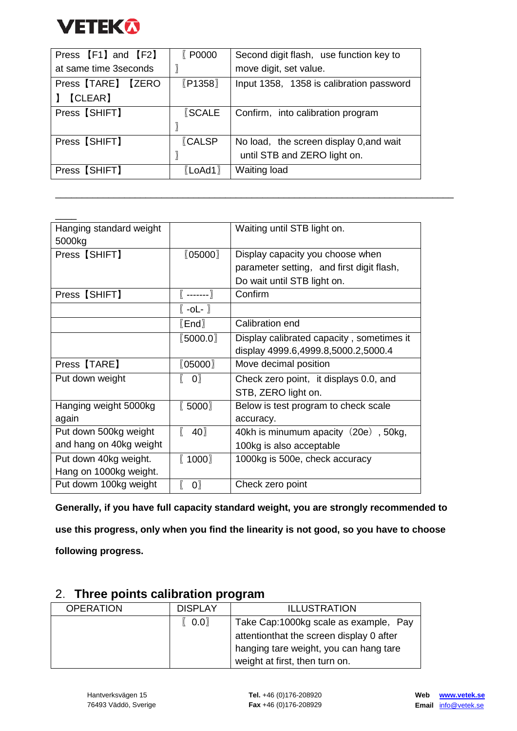

| Press [F1] and [F2]    | <b>€ P0000</b> | Second digit flash, use function key to  |
|------------------------|----------------|------------------------------------------|
| at same time 3 seconds |                | move digit, set value.                   |
| Press [TARE] [ZERO     | $[$ P1358 $]$  | Input 1358, 1358 is calibration password |
| <b>[CLEAR]</b>         |                |                                          |
| Press [SHIFT]          | <b>SCALE</b>   | Confirm, into calibration program        |
|                        |                |                                          |
| Press [SHIFT]          | <b>CALSP</b>   | No load, the screen display 0, and wait  |
|                        |                | until STB and ZERO light on.             |
| Press [SHIFT]          | $[$ LoAd1 $]$  | <b>Waiting load</b>                      |

\_\_\_\_\_\_\_\_\_\_\_\_\_\_\_\_\_\_\_\_\_\_\_\_\_\_\_\_\_\_\_\_\_\_\_\_\_\_\_\_\_\_\_\_\_\_\_\_\_\_\_\_\_\_\_\_\_\_\_\_\_\_\_\_\_\_\_\_\_\_\_\_\_\_\_

| Hanging standard weight |                 | Waiting until STB light on.               |
|-------------------------|-----------------|-------------------------------------------|
| 5000kg                  |                 |                                           |
| Press [SHIFT]           | (05000)         | Display capacity you choose when          |
|                         |                 | parameter setting, and first digit flash, |
|                         |                 | Do wait until STB light on.               |
| Press [SHIFT]           | $($ ------- $)$ | Confirm                                   |
|                         | $[ -0L - ]$     |                                           |
|                         | [End]           | Calibration end                           |
|                         | (5000.0)        | Display calibrated capacity, sometimes it |
|                         |                 | display 4999.6,4999.8,5000.2,5000.4       |
| Press [TARE]            | (05000)         | Move decimal position                     |
| Put down weight         | $ 0\rangle$     | Check zero point, it displays 0.0, and    |
|                         |                 | STB, ZERO light on.                       |
| Hanging weight 5000kg   | [5000]          | Below is test program to check scale      |
| again                   |                 | accuracy.                                 |
| Put down 500kg weight   | 40              | 40kh is minumum apacity (20e), 50kg,      |
| and hang on 40kg weight |                 | 100kg is also acceptable                  |
| Put down 40kg weight.   | [1000]          | 1000kg is 500e, check accuracy            |
| Hang on 1000kg weight.  |                 |                                           |
| Put dowm 100kg weight   | $\mathbf{0}$    | Check zero point                          |

**Generally, if you have full capacity standard weight, you are strongly recommended to** 

**use this progress, only when you find the linearity is not good, so you have to choose** 

**following progress.**

| $\mathsf{Z}$ . Three points callbration program |                |                                          |
|-------------------------------------------------|----------------|------------------------------------------|
| <b>OPERATION</b>                                | <b>DISPLAY</b> | <b>ILLUSTRATION</b>                      |
|                                                 | [0.0]          | Take Cap:1000kg scale as example, Pay    |
|                                                 |                | attentionthat the screen display 0 after |
|                                                 |                | hanging tare weight, you can hang tare   |
|                                                 |                | weight at first, then turn on.           |

#### 2.**Three points calibration program**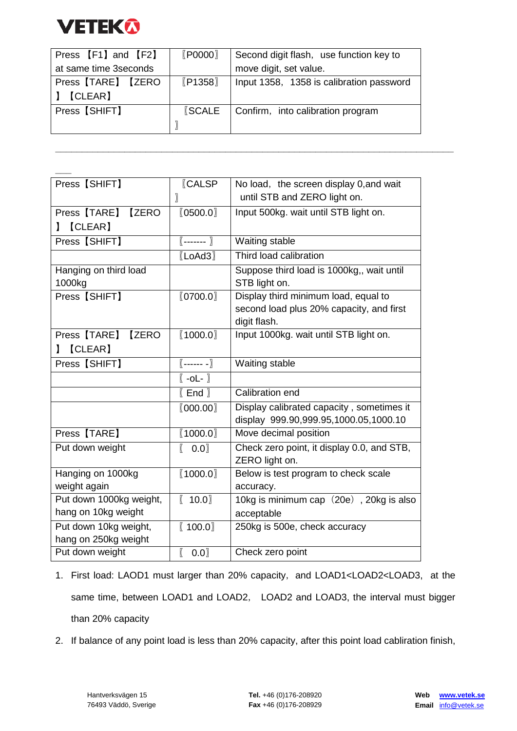

| Press [F1] and [F2]    | $[$ P0000 $]$ | Second digit flash, use function key to  |
|------------------------|---------------|------------------------------------------|
| at same time 3 seconds |               | move digit, set value.                   |
| Press [TARE] [ZERO     | $[$ P1358 $]$ | Input 1358, 1358 is calibration password |
| 【CLEAR】                |               |                                          |
| Press [SHIFT]          | <b>SCALE</b>  | Confirm, into calibration program        |
|                        |               |                                          |

**\_\_\_\_\_\_\_\_\_\_\_\_\_\_\_\_\_\_\_\_\_\_\_\_\_\_\_\_\_\_\_\_\_\_\_\_\_\_\_\_\_\_\_\_\_\_\_\_\_\_\_\_\_\_\_\_\_\_\_\_\_\_\_\_\_\_\_\_\_\_\_\_\_\_\_**

| Press [SHIFT]                | <b>CALSP</b>        | No load, the screen display 0, and wait    |
|------------------------------|---------------------|--------------------------------------------|
|                              | 〗                   | until STB and ZERO light on.               |
| Press [TARE] [ZERO           | [0500.0]            | Input 500kg. wait until STB light on.      |
| [CLEAR]                      |                     |                                            |
| Press [SHIFT]                | $[-$ ------- $]$    | Waiting stable                             |
|                              | $[$ LoAd3 $]$       | Third load calibration                     |
| Hanging on third load        |                     | Suppose third load is 1000kg,, wait until  |
| 1000kg                       |                     | STB light on.                              |
| Press [SHIFT]                | [0700.0]            | Display third minimum load, equal to       |
|                              |                     | second load plus 20% capacity, and first   |
|                              |                     | digit flash.                               |
| Press [TARE]<br><b>IZERO</b> | (1000.0)            | Input 1000kg. wait until STB light on.     |
| [CLEAR]                      |                     |                                            |
| Press [SHIFT]                | $(---- - )$         | Waiting stable                             |
|                              | $[ -0L - ]$         |                                            |
|                              | $[$ End $]$         | Calibration end                            |
|                              | [000.00]            | Display calibrated capacity, sometimes it  |
|                              |                     | display 999.90,999.95,1000.05,1000.10      |
| Press [TARE]                 | (1000.0)            | Move decimal position                      |
| Put down weight              | 0.0<br>$\mathbb{I}$ | Check zero point, it display 0.0, and STB, |
|                              |                     | ZERO light on.                             |
| Hanging on 1000kg            | (1000.0)            | Below is test program to check scale       |
| weight again                 |                     | accuracy.                                  |
| Put down 1000kg weight,      | [ 10.0]             | 10kg is minimum cap (20e), 20kg is also    |
| hang on 10kg weight          |                     | acceptable                                 |
| Put down 10kg weight,        | [100.0]             | 250kg is 500e, check accuracy              |
| hang on 250kg weight         |                     |                                            |
| Put down weight              | $\sqrt{ }$<br>0.0   | Check zero point                           |

- 1. First load: LAOD1 must larger than 20% capacity, and LOAD1<LOAD2<LOAD3, at the same time, between LOAD1 and LOAD2, LOAD2 and LOAD3, the interval must bigger than 20% capacity
- 2. If balance of any point load is less than 20% capacity, after this point load cabliration finish,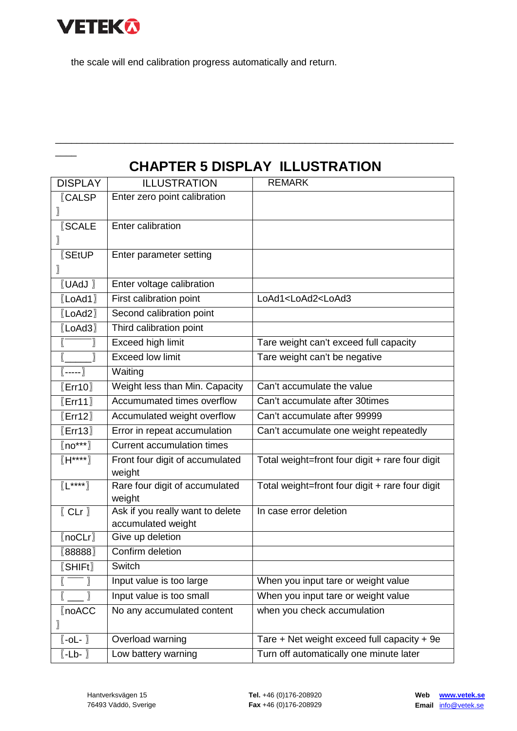

 $\overline{\phantom{a}}$ 

the scale will end calibration progress automatically and return.

## **CHAPTER 5 DISPLAY ILLUSTRATION**

\_\_\_\_\_\_\_\_\_\_\_\_\_\_\_\_\_\_\_\_\_\_\_\_\_\_\_\_\_\_\_\_\_\_\_\_\_\_\_\_\_\_\_\_\_\_\_\_\_\_\_\_\_\_\_\_\_\_\_\_\_\_\_\_\_\_\_\_\_\_\_\_\_\_\_

| <b>DISPLAY</b>                                                                       | <b>ILLUSTRATION</b>                                    | <b>REMARK</b>                                   |
|--------------------------------------------------------------------------------------|--------------------------------------------------------|-------------------------------------------------|
| <b>CALSP</b>                                                                         | Enter zero point calibration                           |                                                 |
|                                                                                      |                                                        |                                                 |
| <b>SCALE</b>                                                                         | Enter calibration                                      |                                                 |
| 〗                                                                                    |                                                        |                                                 |
| <b>SEtUP</b>                                                                         | Enter parameter setting                                |                                                 |
|                                                                                      |                                                        |                                                 |
| $[$ UAdJ $]$                                                                         | Enter voltage calibration                              |                                                 |
| $[$ LoAd1 $]$                                                                        | First calibration point                                | LoAd1 <load2<load3< td=""></load2<load3<>       |
| $[$ LoAd2 $]$                                                                        | Second calibration point                               |                                                 |
| [LoAd3]                                                                              | Third calibration point                                |                                                 |
|                                                                                      | Exceed high limit                                      | Tare weight can't exceed full capacity          |
|                                                                                      | <b>Exceed low limit</b>                                | Tare weight can't be negative                   |
| $\boxed{ \left( \begin{array}{ccc} \text{-} \text{-} \text{-} \end{array} \right) }$ | Waiting                                                |                                                 |
| [Err10]                                                                              | Weight less than Min. Capacity                         | Can't accumulate the value                      |
| [Err11]                                                                              | Accumumated times overflow                             | Can't accumulate after 30times                  |
| [Err12]                                                                              | Accumulated weight overflow                            | Can't accumulate after 99999                    |
| [Err13]                                                                              | Error in repeat accumulation                           | Can't accumulate one weight repeatedly          |
| $\langle \mathsf{no^{***}} \rangle$                                                  | <b>Current accumulation times</b>                      |                                                 |
| $(H***)$                                                                             | Front four digit of accumulated<br>weight              | Total weight=front four digit + rare four digit |
| $(L***)$                                                                             | Rare four digit of accumulated<br>weight               | Total weight=front four digit + rare four digit |
| [CLr]                                                                                | Ask if you really want to delete<br>accumulated weight | In case error deletion                          |
| [noCLr]                                                                              | Give up deletion                                       |                                                 |
| [88888]                                                                              | Confirm deletion                                       |                                                 |
| [SHIFt]                                                                              | Switch                                                 |                                                 |
|                                                                                      | Input value is too large                               | When you input tare or weight value             |
|                                                                                      | Input value is too small                               | When you input tare or weight value             |
| <b>[noACC</b>                                                                        | No any accumulated content                             | when you check accumulation                     |
|                                                                                      |                                                        |                                                 |
| $[\overline{\phantom{a}}$ -oL- $\overline{\phantom{a}}]$                             | Overload warning                                       | Tare + Net weight exceed full capacity + 9e     |
| $[ -Lb - ]$                                                                          | Low battery warning                                    | Turn off automatically one minute later         |